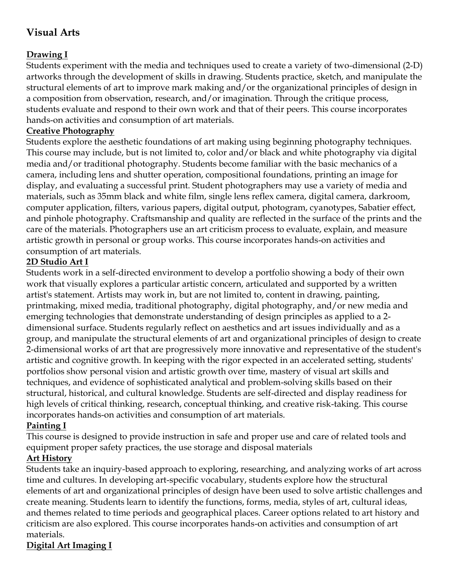# **Visual Arts**

## **Drawing I**

Students experiment with the media and techniques used to create a variety of two-dimensional (2-D) artworks through the development of skills in drawing. Students practice, sketch, and manipulate the structural elements of art to improve mark making and/or the organizational principles of design in a composition from observation, research, and/or imagination. Through the critique process, students evaluate and respond to their own work and that of their peers. This course incorporates hands-on activities and consumption of art materials.

### **Creative Photography**

Students explore the aesthetic foundations of art making using beginning photography techniques. This course may include, but is not limited to, color and/or black and white photography via digital media and/or traditional photography. Students become familiar with the basic mechanics of a camera, including lens and shutter operation, compositional foundations, printing an image for display, and evaluating a successful print. Student photographers may use a variety of media and materials, such as 35mm black and white film, single lens reflex camera, digital camera, darkroom, computer application, filters, various papers, digital output, photogram, cyanotypes, Sabatier effect, and pinhole photography. Craftsmanship and quality are reflected in the surface of the prints and the care of the materials. Photographers use an art criticism process to evaluate, explain, and measure artistic growth in personal or group works. This course incorporates hands-on activities and consumption of art materials.

## **2D Studio Art I**

Students work in a self-directed environment to develop a portfolio showing a body of their own work that visually explores a particular artistic concern, articulated and supported by a written artist's statement. Artists may work in, but are not limited to, content in drawing, painting, printmaking, mixed media, traditional photography, digital photography, and/or new media and emerging technologies that demonstrate understanding of design principles as applied to a 2 dimensional surface. Students regularly reflect on aesthetics and art issues individually and as a group, and manipulate the structural elements of art and organizational principles of design to create 2-dimensional works of art that are progressively more innovative and representative of the student's artistic and cognitive growth. In keeping with the rigor expected in an accelerated setting, students' portfolios show personal vision and artistic growth over time, mastery of visual art skills and techniques, and evidence of sophisticated analytical and problem-solving skills based on their structural, historical, and cultural knowledge. Students are self-directed and display readiness for high levels of critical thinking, research, conceptual thinking, and creative risk-taking. This course incorporates hands-on activities and consumption of art materials.

## **Painting I**

This course is designed to provide instruction in safe and proper use and care of related tools and equipment proper safety practices, the use storage and disposal materials

## **Art History**

Students take an inquiry-based approach to exploring, researching, and analyzing works of art across time and cultures. In developing art-specific vocabulary, students explore how the structural elements of art and organizational principles of design have been used to solve artistic challenges and create meaning. Students learn to identify the functions, forms, media, styles of art, cultural ideas, and themes related to time periods and geographical places. Career options related to art history and criticism are also explored. This course incorporates hands-on activities and consumption of art materials.

## **Digital Art Imaging I**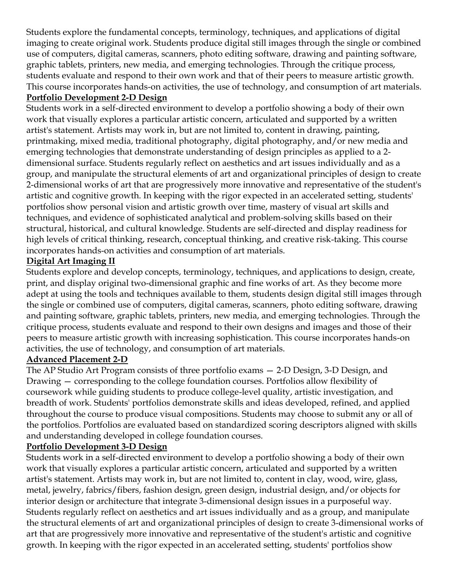Students explore the fundamental concepts, terminology, techniques, and applications of digital imaging to create original work. Students produce digital still images through the single or combined use of computers, digital cameras, scanners, photo editing software, drawing and painting software, graphic tablets, printers, new media, and emerging technologies. Through the critique process, students evaluate and respond to their own work and that of their peers to measure artistic growth. This course incorporates hands-on activities, the use of technology, and consumption of art materials. **Portfolio Development 2-D Design**

Students work in a self-directed environment to develop a portfolio showing a body of their own work that visually explores a particular artistic concern, articulated and supported by a written artist's statement. Artists may work in, but are not limited to, content in drawing, painting, printmaking, mixed media, traditional photography, digital photography, and/or new media and emerging technologies that demonstrate understanding of design principles as applied to a 2 dimensional surface. Students regularly reflect on aesthetics and art issues individually and as a group, and manipulate the structural elements of art and organizational principles of design to create 2-dimensional works of art that are progressively more innovative and representative of the student's artistic and cognitive growth. In keeping with the rigor expected in an accelerated setting, students' portfolios show personal vision and artistic growth over time, mastery of visual art skills and techniques, and evidence of sophisticated analytical and problem-solving skills based on their structural, historical, and cultural knowledge. Students are self-directed and display readiness for high levels of critical thinking, research, conceptual thinking, and creative risk-taking. This course incorporates hands-on activities and consumption of art materials.

#### **Digital Art Imaging II**

Students explore and develop concepts, terminology, techniques, and applications to design, create, print, and display original two-dimensional graphic and fine works of art. As they become more adept at using the tools and techniques available to them, students design digital still images through the single or combined use of computers, digital cameras, scanners, photo editing software, drawing and painting software, graphic tablets, printers, new media, and emerging technologies. Through the critique process, students evaluate and respond to their own designs and images and those of their peers to measure artistic growth with increasing sophistication. This course incorporates hands-on activities, the use of technology, and consumption of art materials.

#### **Advanced Placement 2-D**

The AP Studio Art Program consists of three portfolio exams — 2-D Design, 3-D Design, and Drawing — corresponding to the college foundation courses. Portfolios allow flexibility of coursework while guiding students to produce college-level quality, artistic investigation, and breadth of work. Students' portfolios demonstrate skills and ideas developed, refined, and applied throughout the course to produce visual compositions. Students may choose to submit any or all of the portfolios. Portfolios are evaluated based on standardized scoring descriptors aligned with skills and understanding developed in college foundation courses.

#### **Portfolio Development 3-D Design**

Students work in a self-directed environment to develop a portfolio showing a body of their own work that visually explores a particular artistic concern, articulated and supported by a written artist's statement. Artists may work in, but are not limited to, content in clay, wood, wire, glass, metal, jewelry, fabrics/fibers, fashion design, green design, industrial design, and/or objects for interior design or architecture that integrate 3-dimensional design issues in a purposeful way. Students regularly reflect on aesthetics and art issues individually and as a group, and manipulate the structural elements of art and organizational principles of design to create 3-dimensional works of art that are progressively more innovative and representative of the student's artistic and cognitive growth. In keeping with the rigor expected in an accelerated setting, students' portfolios show